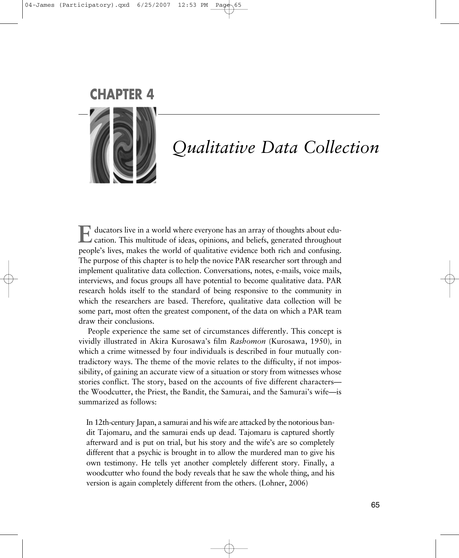

**E**ducators live in a world where everyone has an array of thoughts about education. This multitude of ideas, opinions, and beliefs, generated throughout people's lives, makes the world of qualitative evidence both rich and confusing. The purpose of this chapter is to help the novice PAR researcher sort through and implement qualitative data collection. Conversations, notes, e-mails, voice mails, interviews, and focus groups all have potential to become qualitative data. PAR research holds itself to the standard of being responsive to the community in which the researchers are based. Therefore, qualitative data collection will be some part, most often the greatest component, of the data on which a PAR team draw their conclusions.

People experience the same set of circumstances differently. This concept is vividly illustrated in Akira Kurosawa's film *Rashomon* (Kurosawa, 1950)*,* in which a crime witnessed by four individuals is described in four mutually contradictory ways. The theme of the movie relates to the difficulty, if not impossibility, of gaining an accurate view of a situation or story from witnesses whose stories conflict. The story, based on the accounts of five different characters the Woodcutter, the Priest, the Bandit, the Samurai, and the Samurai's wife—is summarized as follows:

In 12th-century Japan, a samurai and his wife are attacked by the notorious bandit Tajomaru, and the samurai ends up dead. Tajomaru is captured shortly afterward and is put on trial, but his story and the wife's are so completely different that a psychic is brought in to allow the murdered man to give his own testimony. He tells yet another completely different story. Finally, a woodcutter who found the body reveals that he saw the whole thing, and his version is again completely different from the others. (Lohner, 2006)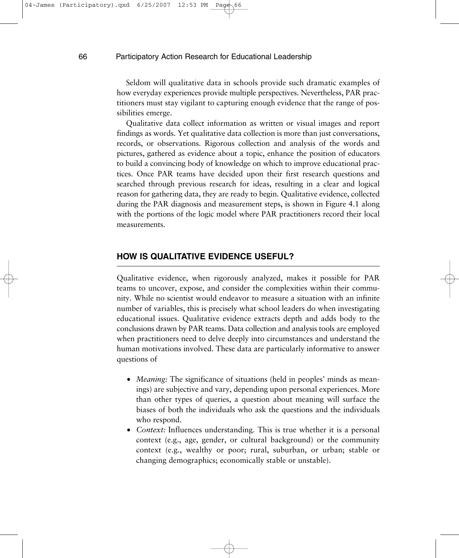Seldom will qualitative data in schools provide such dramatic examples of how everyday experiences provide multiple perspectives. Nevertheless, PAR practitioners must stay vigilant to capturing enough evidence that the range of possibilities emerge.

Qualitative data collect information as written or visual images and report findings as words. Yet qualitative data collection is more than just conversations, records, or observations. Rigorous collection and analysis of the words and pictures, gathered as evidence about a topic, enhance the position of educators to build a convincing body of knowledge on which to improve educational practices. Once PAR teams have decided upon their first research questions and searched through previous research for ideas, resulting in a clear and logical reason for gathering data, they are ready to begin. Qualitative evidence, collected during the PAR diagnosis and measurement steps, is shown in Figure 4.1 along with the portions of the logic model where PAR practitioners record their local measurements.

### **HOW IS QUALITATIVE EVIDENCE USEFUL?**

Qualitative evidence, when rigorously analyzed, makes it possible for PAR teams to uncover, expose, and consider the complexities within their community. While no scientist would endeavor to measure a situation with an infinite number of variables, this is precisely what school leaders do when investigating educational issues. Qualitative evidence extracts depth and adds body to the conclusions drawn by PAR teams. Data collection and analysis tools are employed when practitioners need to delve deeply into circumstances and understand the human motivations involved. These data are particularly informative to answer questions of

- *Meaning:* The significance of situations (held in peoples' minds as meanings) are subjective and vary, depending upon personal experiences. More than other types of queries, a question about meaning will surface the biases of both the individuals who ask the questions and the individuals who respond.
- *Context:* Influences understanding. This is true whether it is a personal context (e.g., age, gender, or cultural background) or the community context (e.g., wealthy or poor; rural, suburban, or urban; stable or changing demographics; economically stable or unstable).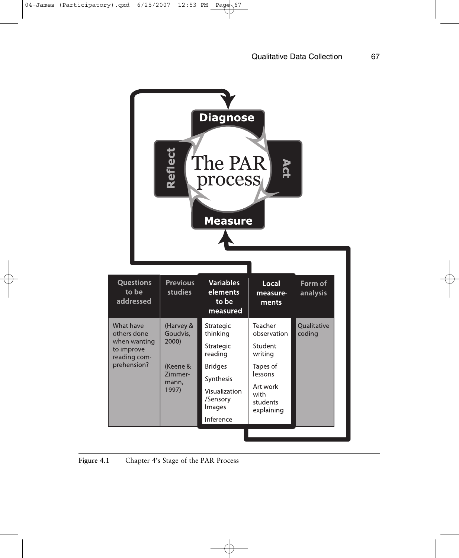

**Figure 4.1** Chapter 4's Stage of the PAR Process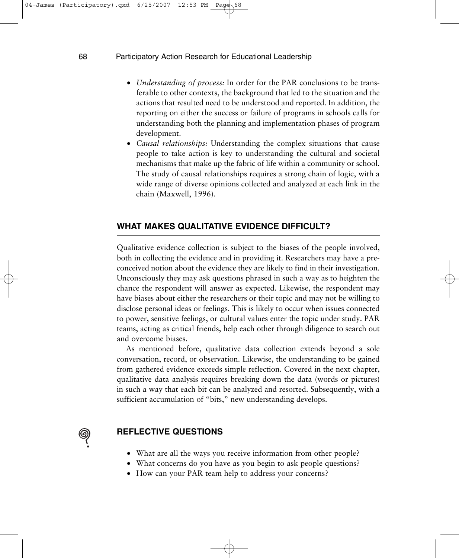- *Understanding of process:* In order for the PAR conclusions to be transferable to other contexts, the background that led to the situation and the actions that resulted need to be understood and reported. In addition, the reporting on either the success or failure of programs in schools calls for understanding both the planning and implementation phases of program development.
- *Causal relationships:* Understanding the complex situations that cause people to take action is key to understanding the cultural and societal mechanisms that make up the fabric of life within a community or school. The study of causal relationships requires a strong chain of logic, with a wide range of diverse opinions collected and analyzed at each link in the chain (Maxwell, 1996).

# **WHAT MAKES QUALITATIVE EVIDENCE DIFFICULT?**

Qualitative evidence collection is subject to the biases of the people involved, both in collecting the evidence and in providing it. Researchers may have a preconceived notion about the evidence they are likely to find in their investigation. Unconsciously they may ask questions phrased in such a way as to heighten the chance the respondent will answer as expected. Likewise, the respondent may have biases about either the researchers or their topic and may not be willing to disclose personal ideas or feelings. This is likely to occur when issues connected to power, sensitive feelings, or cultural values enter the topic under study. PAR teams, acting as critical friends, help each other through diligence to search out and overcome biases.

As mentioned before, qualitative data collection extends beyond a sole conversation, record, or observation. Likewise, the understanding to be gained from gathered evidence exceeds simple reflection. Covered in the next chapter, qualitative data analysis requires breaking down the data (words or pictures) in such a way that each bit can be analyzed and resorted. Subsequently, with a sufficient accumulation of "bits," new understanding develops.



#### **REFLECTIVE QUESTIONS**

- What are all the ways you receive information from other people?
- What concerns do you have as you begin to ask people questions?
- How can your PAR team help to address your concerns?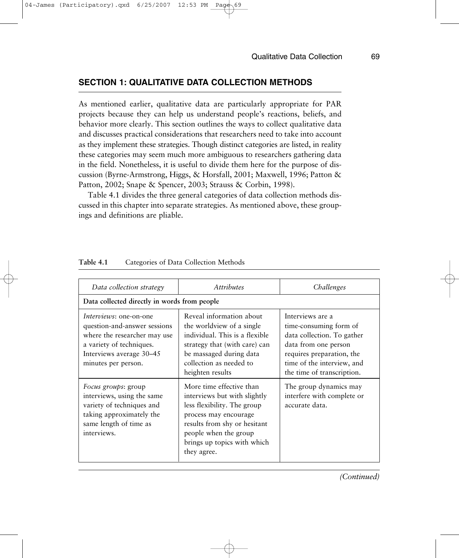As mentioned earlier, qualitative data are particularly appropriate for PAR projects because they can help us understand people's reactions, beliefs, and behavior more clearly. This section outlines the ways to collect qualitative data and discusses practical considerations that researchers need to take into account as they implement these strategies. Though distinct categories are listed, in reality these categories may seem much more ambiguous to researchers gathering data in the field. Nonetheless, it is useful to divide them here for the purpose of discussion (Byrne-Armstrong, Higgs, & Horsfall, 2001; Maxwell, 1996; Patton & Patton, 2002; Snape & Spencer, 2003; Strauss & Corbin, 1998).

Table 4.1 divides the three general categories of data collection methods discussed in this chapter into separate strategies. As mentioned above, these groupings and definitions are pliable.

| Data collection strategy                                                                                                                                                     | <i>Attributes</i>                                                                                                                                                                                                       | <i>Challenges</i>                                                                                                                                                                         |  |  |  |
|------------------------------------------------------------------------------------------------------------------------------------------------------------------------------|-------------------------------------------------------------------------------------------------------------------------------------------------------------------------------------------------------------------------|-------------------------------------------------------------------------------------------------------------------------------------------------------------------------------------------|--|--|--|
| Data collected directly in words from people                                                                                                                                 |                                                                                                                                                                                                                         |                                                                                                                                                                                           |  |  |  |
| <i>Interviews:</i> one-on-one<br>question-and-answer sessions<br>where the researcher may use<br>a variety of techniques.<br>Interviews average 30–45<br>minutes per person. | Reveal information about<br>the worldview of a single<br>individual. This is a flexible<br>strategy that (with care) can<br>be massaged during data<br>collection as needed to<br>heighten results                      | Interviews are a<br>time-consuming form of<br>data collection. To gather<br>data from one person<br>requires preparation, the<br>time of the interview, and<br>the time of transcription. |  |  |  |
| <i>Focus groups: group</i><br>interviews, using the same<br>variety of techniques and<br>taking approximately the<br>same length of time as<br>interviews.                   | More time effective than<br>interviews but with slightly<br>less flexibility. The group<br>process may encourage<br>results from shy or hesitant<br>people when the group<br>brings up topics with which<br>they agree. | The group dynamics may<br>interfere with complete or<br>accurate data.                                                                                                                    |  |  |  |

*(Continued)*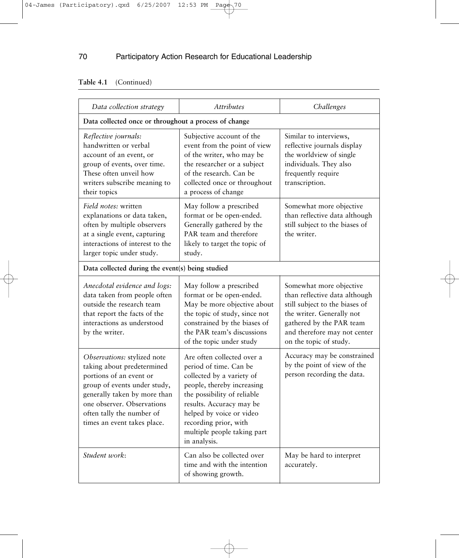# **Table 4.1** (Continued)

| Data collection strategy                                                                                                                                                                                                                       | <i>Attributes</i>                                                                                                                                                                                                                                                              | Challenges                                                                                                                                                                                                    |  |  |  |  |  |
|------------------------------------------------------------------------------------------------------------------------------------------------------------------------------------------------------------------------------------------------|--------------------------------------------------------------------------------------------------------------------------------------------------------------------------------------------------------------------------------------------------------------------------------|---------------------------------------------------------------------------------------------------------------------------------------------------------------------------------------------------------------|--|--|--|--|--|
| Data collected once or throughout a process of change                                                                                                                                                                                          |                                                                                                                                                                                                                                                                                |                                                                                                                                                                                                               |  |  |  |  |  |
| Reflective journals:<br>handwritten or verbal<br>account of an event, or<br>group of events, over time.<br>These often unveil how<br>writers subscribe meaning to<br>their topics                                                              | Subjective account of the<br>event from the point of view<br>of the writer, who may be<br>the researcher or a subject<br>of the research. Can be<br>collected once or throughout<br>a process of change                                                                        | Similar to interviews,<br>reflective journals display<br>the worldview of single<br>individuals. They also<br>frequently require<br>transcription.                                                            |  |  |  |  |  |
| Field notes: written<br>explanations or data taken,<br>often by multiple observers<br>at a single event, capturing<br>interactions of interest to the<br>larger topic under study.                                                             | May follow a prescribed<br>format or be open-ended.<br>Generally gathered by the<br>PAR team and therefore<br>likely to target the topic of<br>study.                                                                                                                          | Somewhat more objective<br>than reflective data although<br>still subject to the biases of<br>the writer.                                                                                                     |  |  |  |  |  |
| Data collected during the event(s) being studied                                                                                                                                                                                               |                                                                                                                                                                                                                                                                                |                                                                                                                                                                                                               |  |  |  |  |  |
| Anecdotal evidence and logs:<br>data taken from people often<br>outside the research team<br>that report the facts of the<br>interactions as understood<br>by the writer.                                                                      | May follow a prescribed<br>format or be open-ended.<br>May be more objective about<br>the topic of study, since not<br>constrained by the biases of<br>the PAR team's discussions<br>of the topic under study                                                                  | Somewhat more objective<br>than reflective data although<br>still subject to the biases of<br>the writer. Generally not<br>gathered by the PAR team<br>and therefore may not center<br>on the topic of study. |  |  |  |  |  |
| Observations: stylized note<br>taking about predetermined<br>portions of an event or<br>group of events under study,<br>generally taken by more than<br>one observer. Observations<br>often tally the number of<br>times an event takes place. | Are often collected over a<br>period of time. Can be<br>collected by a variety of<br>people, thereby increasing<br>the possibility of reliable<br>results. Accuracy may be<br>helped by voice or video<br>recording prior, with<br>multiple people taking part<br>in analysis. | Accuracy may be constrained<br>by the point of view of the<br>person recording the data.                                                                                                                      |  |  |  |  |  |
| Student work:                                                                                                                                                                                                                                  | Can also be collected over<br>time and with the intention<br>of showing growth.                                                                                                                                                                                                | May be hard to interpret<br>accurately.                                                                                                                                                                       |  |  |  |  |  |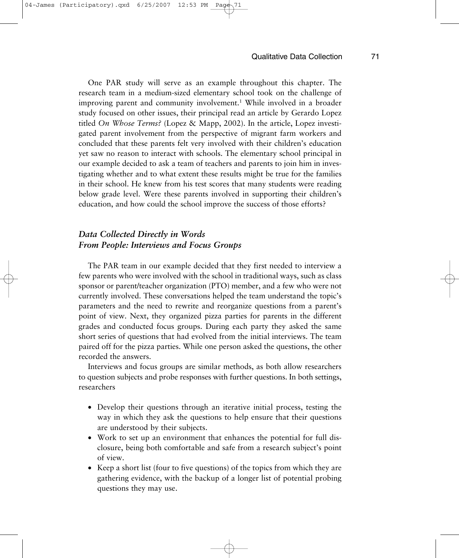04-James (Participatory).qxd 6/25/2007 12:53 PM

One PAR study will serve as an example throughout this chapter. The research team in a medium-sized elementary school took on the challenge of improving parent and community involvement.<sup>1</sup> While involved in a broader study focused on other issues, their principal read an article by Gerardo Lopez titled *On Whose Terms?* (Lopez & Mapp, 2002). In the article, Lopez investigated parent involvement from the perspective of migrant farm workers and concluded that these parents felt very involved with their children's education yet saw no reason to interact with schools. The elementary school principal in our example decided to ask a team of teachers and parents to join him in investigating whether and to what extent these results might be true for the families in their school. He knew from his test scores that many students were reading below grade level. Were these parents involved in supporting their children's education, and how could the school improve the success of those efforts?

# *Data Collected Directly in Words From People: Interviews and Focus Groups*

The PAR team in our example decided that they first needed to interview a few parents who were involved with the school in traditional ways, such as class sponsor or parent/teacher organization (PTO) member, and a few who were not currently involved. These conversations helped the team understand the topic's parameters and the need to rewrite and reorganize questions from a parent's point of view. Next, they organized pizza parties for parents in the different grades and conducted focus groups. During each party they asked the same short series of questions that had evolved from the initial interviews. The team paired off for the pizza parties. While one person asked the questions, the other recorded the answers.

Interviews and focus groups are similar methods, as both allow researchers to question subjects and probe responses with further questions. In both settings, researchers

- Develop their questions through an iterative initial process, testing the way in which they ask the questions to help ensure that their questions are understood by their subjects.
- Work to set up an environment that enhances the potential for full disclosure, being both comfortable and safe from a research subject's point of view.
- Keep a short list (four to five questions) of the topics from which they are gathering evidence, with the backup of a longer list of potential probing questions they may use.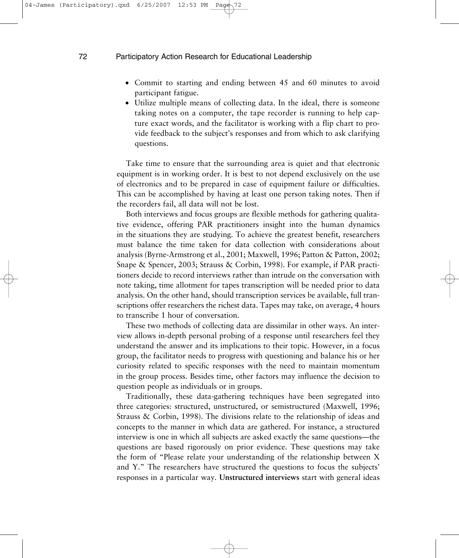- Commit to starting and ending between 45 and 60 minutes to avoid participant fatigue.
- Utilize multiple means of collecting data. In the ideal, there is someone taking notes on a computer, the tape recorder is running to help capture exact words, and the facilitator is working with a flip chart to provide feedback to the subject's responses and from which to ask clarifying questions.

Take time to ensure that the surrounding area is quiet and that electronic equipment is in working order. It is best to not depend exclusively on the use of electronics and to be prepared in case of equipment failure or difficulties. This can be accomplished by having at least one person taking notes. Then if the recorders fail, all data will not be lost.

Both interviews and focus groups are flexible methods for gathering qualitative evidence, offering PAR practitioners insight into the human dynamics in the situations they are studying. To achieve the greatest benefit, researchers must balance the time taken for data collection with considerations about analysis (Byrne-Armstrong et al., 2001; Maxwell, 1996; Patton & Patton, 2002; Snape & Spencer, 2003; Strauss & Corbin, 1998). For example, if PAR practitioners decide to record interviews rather than intrude on the conversation with note taking, time allotment for tapes transcription will be needed prior to data analysis. On the other hand, should transcription services be available, full transcriptions offer researchers the richest data. Tapes may take, on average, 4 hours to transcribe 1 hour of conversation.

These two methods of collecting data are dissimilar in other ways. An interview allows in-depth personal probing of a response until researchers feel they understand the answer and its implications to their topic. However, in a focus group, the facilitator needs to progress with questioning and balance his or her curiosity related to specific responses with the need to maintain momentum in the group process. Besides time, other factors may influence the decision to question people as individuals or in groups.

Traditionally, these data-gathering techniques have been segregated into three categories: structured, unstructured, or semistructured (Maxwell, 1996; Strauss & Corbin, 1998). The divisions relate to the relationship of ideas and concepts to the manner in which data are gathered. For instance, a structured interview is one in which all subjects are asked exactly the same questions—the questions are based rigorously on prior evidence. These questions may take the form of "Please relate your understanding of the relationship between X and Y." The researchers have structured the questions to focus the subjects' responses in a particular way. **Unstructured interviews** start with general ideas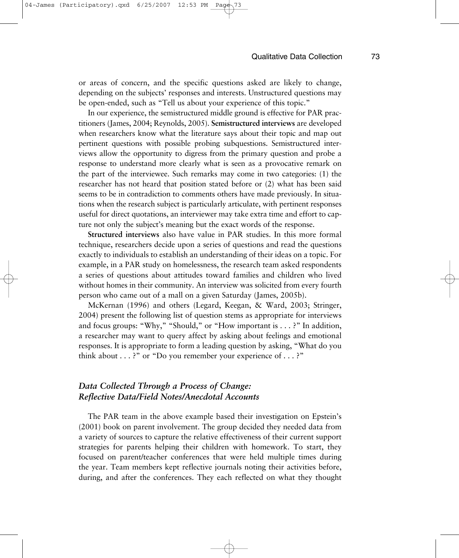or areas of concern, and the specific questions asked are likely to change, depending on the subjects' responses and interests. Unstructured questions may be open-ended, such as "Tell us about your experience of this topic."

In our experience, the semistructured middle ground is effective for PAR practitioners (James, 2004; Reynolds, 2005). **Semistructured interviews** are developed when researchers know what the literature says about their topic and map out pertinent questions with possible probing subquestions. Semistructured interviews allow the opportunity to digress from the primary question and probe a response to understand more clearly what is seen as a provocative remark on the part of the interviewee. Such remarks may come in two categories: (1) the researcher has not heard that position stated before or (2) what has been said seems to be in contradiction to comments others have made previously. In situations when the research subject is particularly articulate, with pertinent responses useful for direct quotations, an interviewer may take extra time and effort to capture not only the subject's meaning but the exact words of the response.

**Structured interviews** also have value in PAR studies. In this more formal technique, researchers decide upon a series of questions and read the questions exactly to individuals to establish an understanding of their ideas on a topic. For example, in a PAR study on homelessness, the research team asked respondents a series of questions about attitudes toward families and children who lived without homes in their community. An interview was solicited from every fourth person who came out of a mall on a given Saturday (James, 2005b).

McKernan (1996) and others (Legard, Keegan, & Ward, 2003; Stringer, 2004) present the following list of question stems as appropriate for interviews and focus groups: "Why," "Should," or "How important is . . . ?" In addition, a researcher may want to query affect by asking about feelings and emotional responses. It is appropriate to form a leading question by asking, "What do you think about . . . ?" or "Do you remember your experience of . . . ?"

# *Data Collected Through a Process of Change: Reflective Data/Field Notes/Anecdotal Accounts*

The PAR team in the above example based their investigation on Epstein's (2001) book on parent involvement. The group decided they needed data from a variety of sources to capture the relative effectiveness of their current support strategies for parents helping their children with homework. To start, they focused on parent/teacher conferences that were held multiple times during the year. Team members kept reflective journals noting their activities before, during, and after the conferences. They each reflected on what they thought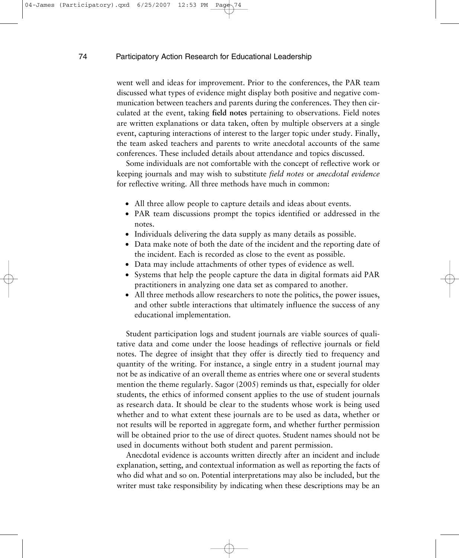went well and ideas for improvement. Prior to the conferences, the PAR team discussed what types of evidence might display both positive and negative communication between teachers and parents during the conferences. They then circulated at the event, taking **field notes** pertaining to observations. Field notes are written explanations or data taken, often by multiple observers at a single event, capturing interactions of interest to the larger topic under study. Finally, the team asked teachers and parents to write anecdotal accounts of the same conferences. These included details about attendance and topics discussed.

Some individuals are not comfortable with the concept of reflective work or keeping journals and may wish to substitute *field notes* or *anecdotal evidence* for reflective writing. All three methods have much in common:

- All three allow people to capture details and ideas about events.
- PAR team discussions prompt the topics identified or addressed in the notes.
- Individuals delivering the data supply as many details as possible.
- Data make note of both the date of the incident and the reporting date of the incident. Each is recorded as close to the event as possible.
- Data may include attachments of other types of evidence as well.
- Systems that help the people capture the data in digital formats aid PAR practitioners in analyzing one data set as compared to another.
- All three methods allow researchers to note the politics, the power issues, and other subtle interactions that ultimately influence the success of any educational implementation.

Student participation logs and student journals are viable sources of qualitative data and come under the loose headings of reflective journals or field notes. The degree of insight that they offer is directly tied to frequency and quantity of the writing. For instance, a single entry in a student journal may not be as indicative of an overall theme as entries where one or several students mention the theme regularly. Sagor (2005) reminds us that, especially for older students, the ethics of informed consent applies to the use of student journals as research data. It should be clear to the students whose work is being used whether and to what extent these journals are to be used as data, whether or not results will be reported in aggregate form, and whether further permission will be obtained prior to the use of direct quotes. Student names should not be used in documents without both student and parent permission.

Anecdotal evidence is accounts written directly after an incident and include explanation, setting, and contextual information as well as reporting the facts of who did what and so on. Potential interpretations may also be included, but the writer must take responsibility by indicating when these descriptions may be an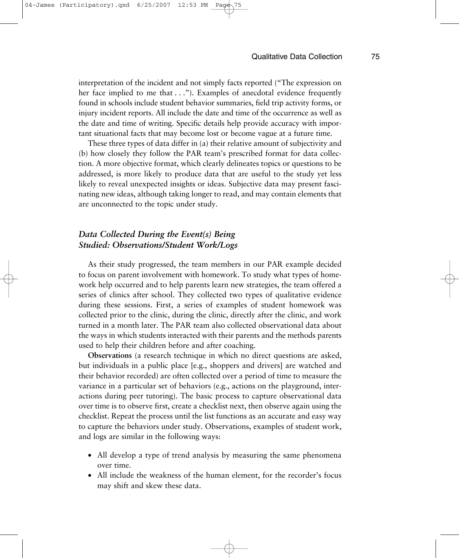interpretation of the incident and not simply facts reported ("The expression on her face implied to me that . . ."). Examples of anecdotal evidence frequently found in schools include student behavior summaries, field trip activity forms, or injury incident reports. All include the date and time of the occurrence as well as the date and time of writing. Specific details help provide accuracy with important situational facts that may become lost or become vague at a future time.

These three types of data differ in (a) their relative amount of subjectivity and (b) how closely they follow the PAR team's prescribed format for data collection. A more objective format, which clearly delineates topics or questions to be addressed, is more likely to produce data that are useful to the study yet less likely to reveal unexpected insights or ideas. Subjective data may present fascinating new ideas, although taking longer to read, and may contain elements that are unconnected to the topic under study.

# *Data Collected During the Event(s) Being Studied: Observations/Student Work/Logs*

As their study progressed, the team members in our PAR example decided to focus on parent involvement with homework. To study what types of homework help occurred and to help parents learn new strategies, the team offered a series of clinics after school. They collected two types of qualitative evidence during these sessions. First, a series of examples of student homework was collected prior to the clinic, during the clinic, directly after the clinic, and work turned in a month later. The PAR team also collected observational data about the ways in which students interacted with their parents and the methods parents used to help their children before and after coaching.

**Observations** (a research technique in which no direct questions are asked, but individuals in a public place [e.g., shoppers and drivers] are watched and their behavior recorded) are often collected over a period of time to measure the variance in a particular set of behaviors (e.g., actions on the playground, interactions during peer tutoring). The basic process to capture observational data over time is to observe first, create a checklist next, then observe again using the checklist. Repeat the process until the list functions as an accurate and easy way to capture the behaviors under study. Observations, examples of student work, and logs are similar in the following ways:

- All develop a type of trend analysis by measuring the same phenomena over time.
- All include the weakness of the human element, for the recorder's focus may shift and skew these data.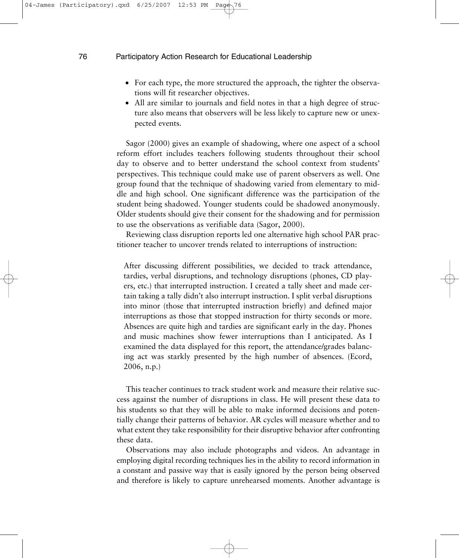- For each type, the more structured the approach, the tighter the observations will fit researcher objectives.
- All are similar to journals and field notes in that a high degree of structure also means that observers will be less likely to capture new or unexpected events.

Sagor (2000) gives an example of shadowing, where one aspect of a school reform effort includes teachers following students throughout their school day to observe and to better understand the school context from students' perspectives. This technique could make use of parent observers as well. One group found that the technique of shadowing varied from elementary to middle and high school. One significant difference was the participation of the student being shadowed. Younger students could be shadowed anonymously. Older students should give their consent for the shadowing and for permission to use the observations as verifiable data (Sagor, 2000).

Reviewing class disruption reports led one alternative high school PAR practitioner teacher to uncover trends related to interruptions of instruction:

After discussing different possibilities, we decided to track attendance, tardies, verbal disruptions, and technology disruptions (phones, CD players, etc.) that interrupted instruction. I created a tally sheet and made certain taking a tally didn't also interrupt instruction. I split verbal disruptions into minor (those that interrupted instruction briefly) and defined major interruptions as those that stopped instruction for thirty seconds or more. Absences are quite high and tardies are significant early in the day. Phones and music machines show fewer interruptions than I anticipated. As I examined the data displayed for this report, the attendance/grades balancing act was starkly presented by the high number of absences. (Ecord, 2006, n.p.)

This teacher continues to track student work and measure their relative success against the number of disruptions in class. He will present these data to his students so that they will be able to make informed decisions and potentially change their patterns of behavior. AR cycles will measure whether and to what extent they take responsibility for their disruptive behavior after confronting these data.

Observations may also include photographs and videos. An advantage in employing digital recording techniques lies in the ability to record information in a constant and passive way that is easily ignored by the person being observed and therefore is likely to capture unrehearsed moments. Another advantage is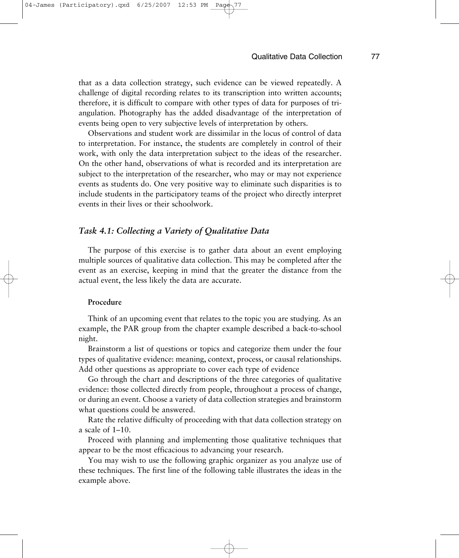that as a data collection strategy, such evidence can be viewed repeatedly. A challenge of digital recording relates to its transcription into written accounts; therefore, it is difficult to compare with other types of data for purposes of triangulation. Photography has the added disadvantage of the interpretation of events being open to very subjective levels of interpretation by others.

Observations and student work are dissimilar in the locus of control of data to interpretation. For instance, the students are completely in control of their work, with only the data interpretation subject to the ideas of the researcher. On the other hand, observations of what is recorded and its interpretation are subject to the interpretation of the researcher, who may or may not experience events as students do. One very positive way to eliminate such disparities is to include students in the participatory teams of the project who directly interpret events in their lives or their schoolwork.

#### *Task 4.1: Collecting a Variety of Qualitative Data*

The purpose of this exercise is to gather data about an event employing multiple sources of qualitative data collection. This may be completed after the event as an exercise, keeping in mind that the greater the distance from the actual event, the less likely the data are accurate.

#### **Procedure**

Think of an upcoming event that relates to the topic you are studying. As an example, the PAR group from the chapter example described a back-to-school night.

Brainstorm a list of questions or topics and categorize them under the four types of qualitative evidence: meaning, context, process, or causal relationships. Add other questions as appropriate to cover each type of evidence

Go through the chart and descriptions of the three categories of qualitative evidence: those collected directly from people, throughout a process of change, or during an event. Choose a variety of data collection strategies and brainstorm what questions could be answered.

Rate the relative difficulty of proceeding with that data collection strategy on a scale of 1–10.

Proceed with planning and implementing those qualitative techniques that appear to be the most efficacious to advancing your research.

You may wish to use the following graphic organizer as you analyze use of these techniques. The first line of the following table illustrates the ideas in the example above.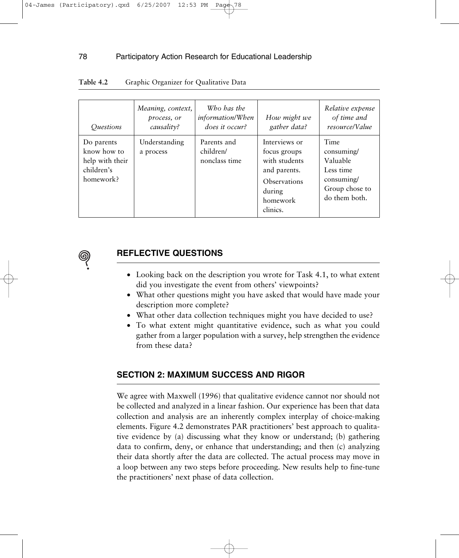| <i><u><b>Ouestions</b></u></i>                                          | Meaning, context,<br>process, or<br>causality? | Who has the<br><i>information</i> /When<br>does it occur? | How might we<br>gather data?                                                                                            | Relative expense<br>of time and<br>resource/Value                                            |
|-------------------------------------------------------------------------|------------------------------------------------|-----------------------------------------------------------|-------------------------------------------------------------------------------------------------------------------------|----------------------------------------------------------------------------------------------|
| Do parents<br>know how to<br>help with their<br>children's<br>homework? | Understanding<br>a process                     | Parents and<br>children/<br>nonclass time                 | Interviews or<br>focus groups<br>with students<br>and parents.<br><b>Observations</b><br>during<br>homework<br>clinics. | Time<br>consuming/<br>Valuable<br>Less time<br>consuming/<br>Group chose to<br>do them both. |

#### Table 4.2 Graphic Organizer for Qualitative Data



### **REFLECTIVE QUESTIONS**

- Looking back on the description you wrote for Task 4.1, to what extent did you investigate the event from others' viewpoints?
- What other questions might you have asked that would have made your description more complete?
- What other data collection techniques might you have decided to use?
- To what extent might quantitative evidence, such as what you could gather from a larger population with a survey, help strengthen the evidence from these data?

# **SECTION 2: MAXIMUM SUCCESS AND RIGOR**

We agree with Maxwell (1996) that qualitative evidence cannot nor should not be collected and analyzed in a linear fashion. Our experience has been that data collection and analysis are an inherently complex interplay of choice-making elements. Figure 4.2 demonstrates PAR practitioners' best approach to qualitative evidence by (a) discussing what they know or understand; (b) gathering data to confirm, deny, or enhance that understanding; and then (c) analyzing their data shortly after the data are collected. The actual process may move in a loop between any two steps before proceeding. New results help to fine-tune the practitioners' next phase of data collection.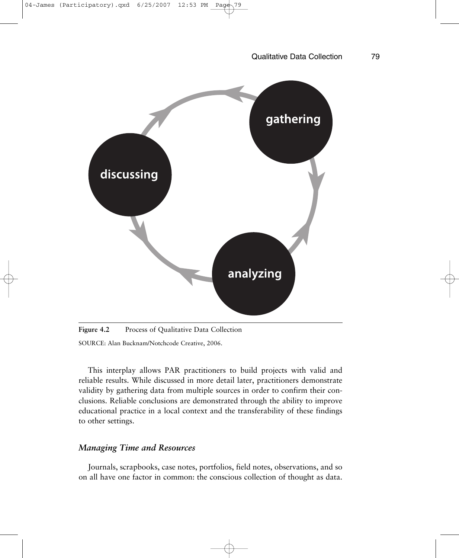

Figure 4.2 Process of Qualitative Data Collection

SOURCE: Alan Bucknam/Notchcode Creative, 2006.

This interplay allows PAR practitioners to build projects with valid and reliable results. While discussed in more detail later, practitioners demonstrate validity by gathering data from multiple sources in order to confirm their conclusions. Reliable conclusions are demonstrated through the ability to improve educational practice in a local context and the transferability of these findings to other settings.

#### *Managing Time and Resources*

Journals, scrapbooks, case notes, portfolios, field notes, observations, and so on all have one factor in common: the conscious collection of thought as data.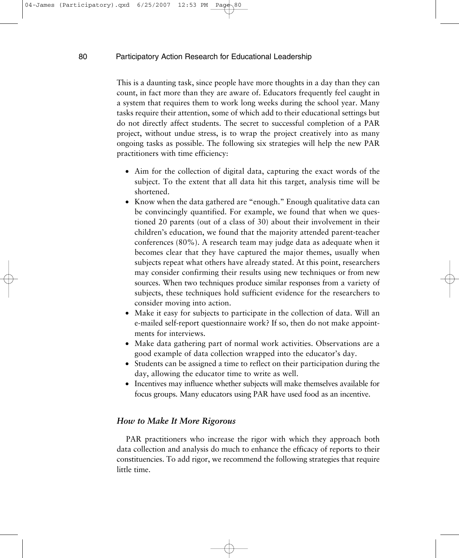This is a daunting task, since people have more thoughts in a day than they can count, in fact more than they are aware of. Educators frequently feel caught in a system that requires them to work long weeks during the school year. Many tasks require their attention, some of which add to their educational settings but do not directly affect students. The secret to successful completion of a PAR project, without undue stress, is to wrap the project creatively into as many ongoing tasks as possible. The following six strategies will help the new PAR practitioners with time efficiency:

- Aim for the collection of digital data, capturing the exact words of the subject. To the extent that all data hit this target, analysis time will be shortened.
- Know when the data gathered are "enough." Enough qualitative data can be convincingly quantified. For example, we found that when we questioned 20 parents (out of a class of 30) about their involvement in their children's education, we found that the majority attended parent-teacher conferences (80%). A research team may judge data as adequate when it becomes clear that they have captured the major themes, usually when subjects repeat what others have already stated. At this point, researchers may consider confirming their results using new techniques or from new sources. When two techniques produce similar responses from a variety of subjects, these techniques hold sufficient evidence for the researchers to consider moving into action.
- Make it easy for subjects to participate in the collection of data. Will an e-mailed self-report questionnaire work? If so, then do not make appointments for interviews.
- Make data gathering part of normal work activities. Observations are a good example of data collection wrapped into the educator's day.
- Students can be assigned a time to reflect on their participation during the day, allowing the educator time to write as well.
- Incentives may influence whether subjects will make themselves available for focus groups. Many educators using PAR have used food as an incentive.

### *How to Make It More Rigorous*

PAR practitioners who increase the rigor with which they approach both data collection and analysis do much to enhance the efficacy of reports to their constituencies. To add rigor, we recommend the following strategies that require little time.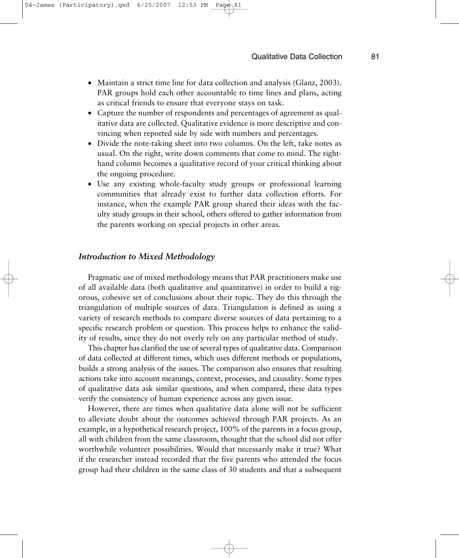- Maintain a strict time line for data collection and analysis (Glanz, 2003). PAR groups hold each other accountable to time lines and plans, acting as critical friends to ensure that everyone stays on task.
- Capture the number of respondents and percentages of agreement as qualitative data are collected. Qualitative evidence is more descriptive and convincing when reported side by side with numbers and percentages.
- Divide the note-taking sheet into two columns. On the left, take notes as usual. On the right, write down comments that come to mind. The righthand column becomes a qualitative record of your critical thinking about the ongoing procedure.
- Use any existing whole-faculty study groups or professional learning communities that already exist to further data collection efforts. For instance, when the example PAR group shared their ideas with the faculty study groups in their school, others offered to gather information from the parents working on special projects in other areas.

#### *Introduction to Mixed Methodology*

Pragmatic use of mixed methodology means that PAR practitioners make use of all available data (both qualitative and quantitative) in order to build a rigorous, cohesive set of conclusions about their topic. They do this through the triangulation of multiple sources of data. Triangulation is defined as using a variety of research methods to compare diverse sources of data pertaining to a specific research problem or question. This process helps to enhance the validity of results, since they do not overly rely on any particular method of study.

This chapter has clarified the use of several types of qualitative data. Comparison of data collected at different times, which uses different methods or populations, builds a strong analysis of the issues. The comparison also ensures that resulting actions take into account meanings, context, processes, and causality. Some types of qualitative data ask similar questions, and when compared, these data types verify the consistency of human experience across any given issue.

However, there are times when qualitative data alone will not be sufficient to alleviate doubt about the outcomes achieved through PAR projects. As an example, in a hypothetical research project, 100% of the parents in a focus group, all with children from the same classroom, thought that the school did not offer worthwhile volunteer possibilities. Would that necessarily make it true? What if the researcher instead recorded that the five parents who attended the focus group had their children in the same class of 30 students and that a subsequent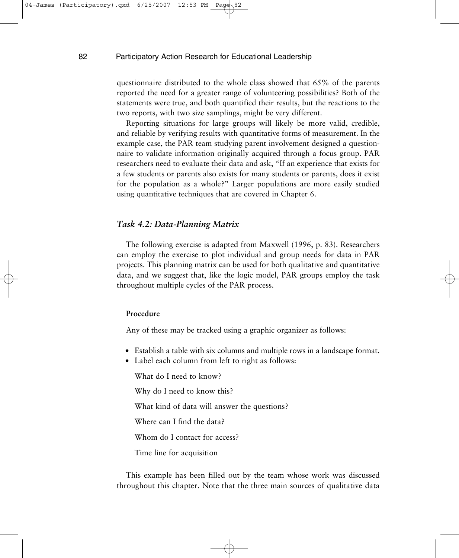questionnaire distributed to the whole class showed that 65% of the parents reported the need for a greater range of volunteering possibilities? Both of the statements were true, and both quantified their results, but the reactions to the two reports, with two size samplings, might be very different.

Reporting situations for large groups will likely be more valid, credible, and reliable by verifying results with quantitative forms of measurement. In the example case, the PAR team studying parent involvement designed a questionnaire to validate information originally acquired through a focus group. PAR researchers need to evaluate their data and ask, "If an experience that exists for a few students or parents also exists for many students or parents, does it exist for the population as a whole?" Larger populations are more easily studied using quantitative techniques that are covered in Chapter 6.

#### *Task 4.2: Data-Planning Matrix*

The following exercise is adapted from Maxwell (1996, p. 83). Researchers can employ the exercise to plot individual and group needs for data in PAR projects. This planning matrix can be used for both qualitative and quantitative data, and we suggest that, like the logic model, PAR groups employ the task throughout multiple cycles of the PAR process.

#### **Procedure**

Any of these may be tracked using a graphic organizer as follows:

- Establish a table with six columns and multiple rows in a landscape format.
- Label each column from left to right as follows:

What do I need to know?

Why do I need to know this?

What kind of data will answer the questions?

Where can I find the data?

Whom do I contact for access?

Time line for acquisition

This example has been filled out by the team whose work was discussed throughout this chapter. Note that the three main sources of qualitative data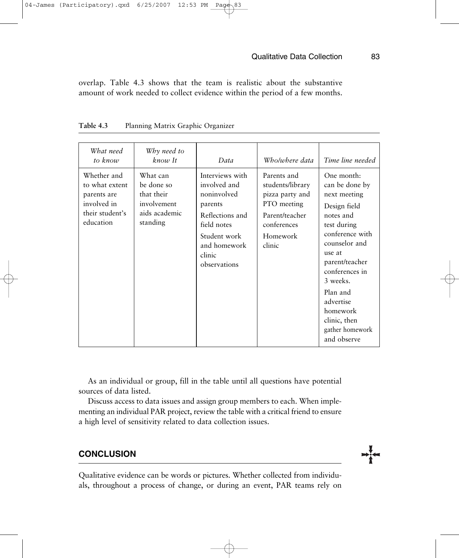overlap. Table 4.3 shows that the team is realistic about the substantive amount of work needed to collect evidence within the period of a few months.

| What need<br>to know                                                                        | Why need to<br>$k$ now It                                                        | Data                                                                                                                                                  | Who/where data                                                                                                           | Time line needed                                                                                                                                                                                                                                                              |
|---------------------------------------------------------------------------------------------|----------------------------------------------------------------------------------|-------------------------------------------------------------------------------------------------------------------------------------------------------|--------------------------------------------------------------------------------------------------------------------------|-------------------------------------------------------------------------------------------------------------------------------------------------------------------------------------------------------------------------------------------------------------------------------|
| Whether and<br>to what extent<br>parents are<br>involved in<br>their student's<br>education | What can<br>be done so<br>that their<br>involvement<br>aids academic<br>standing | Interviews with<br>involved and<br>noninvolved<br>parents<br>Reflections and<br>field notes<br>Student work<br>and homework<br>clinic<br>observations | Parents and<br>students/library<br>pizza party and<br>PTO meeting<br>Parent/teacher<br>conferences<br>Homework<br>clinic | One month:<br>can be done by<br>next meeting<br>Design field<br>notes and<br>test during<br>conference with<br>counselor and<br>use at<br>parent/teacher<br>conferences in<br>3 weeks.<br>Plan and<br>advertise<br>homework<br>clinic, then<br>gather homework<br>and observe |

**Table 4.3** Planning Matrix Graphic Organizer

As an individual or group, fill in the table until all questions have potential sources of data listed.

Discuss access to data issues and assign group members to each. When implementing an individual PAR project, review the table with a critical friend to ensure a high level of sensitivity related to data collection issues.

# **CONCLUSION**



Qualitative evidence can be words or pictures. Whether collected from individuals, throughout a process of change, or during an event, PAR teams rely on